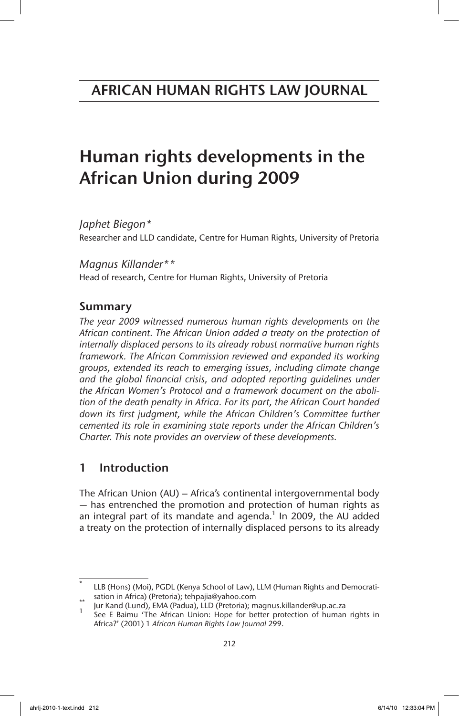# Human rights developments in the African Union during 2009

*Japhet Biegon\** Researcher and LLD candidate, Centre for Human Rights, University of Pretoria

*Magnus Killander\*\** Head of research, Centre for Human Rights, University of Pretoria

# Summary

*The year 2009 witnessed numerous human rights developments on the African continent. The African Union added a treaty on the protection of internally displaced persons to its already robust normative human rights framework. The African Commission reviewed and expanded its working groups, extended its reach to emerging issues, including climate change and the global financial crisis, and adopted reporting guidelines under the African Women's Protocol and a framework document on the abolition of the death penalty in Africa. For its part, the African Court handed*  down its first judgment, while the African Children's Committee further *cemented its role in examining state reports under the African Children's Charter. This note provides an overview of these developments.*

# 1 Introduction

The African Union (AU) – Africa's continental intergovernmental body — has entrenched the promotion and protection of human rights as an integral part of its mandate and agenda. $1$  In 2009, the AU added a treaty on the protection of internally displaced persons to its already

LLB (Hons) (Moi), PGDL (Kenya School of Law), LLM (Human Rights and Democrati-<br>\*\* sation in Africa) (Pretoria); tehpajia@yahoo.com

Jur Kand (Lund), EMA (Padua), LLD (Pretoria); magnus.killander@up.ac.za<br>See E Baimu 'The African Union: Hope for better protection of human rights in Africa?' (2001) 1 *African Human Rights Law Journal* 299.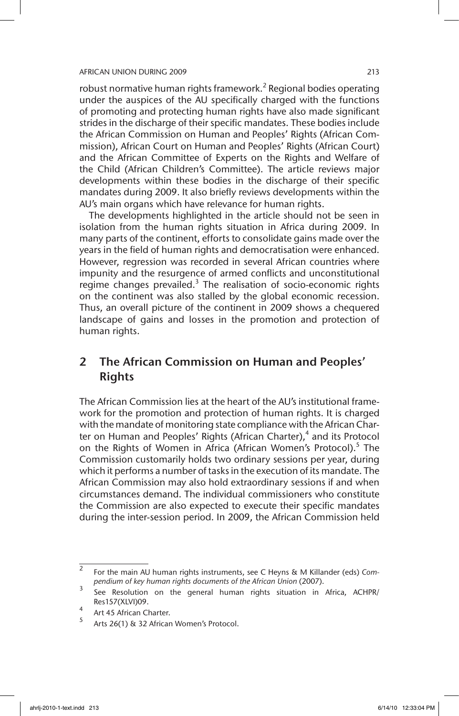robust normative human rights framework.<sup>2</sup> Regional bodies operating under the auspices of the AU specifically charged with the functions of promoting and protecting human rights have also made significant strides in the discharge of their specific mandates. These bodies include the African Commission on Human and Peoples' Rights (African Commission), African Court on Human and Peoples' Rights (African Court) and the African Committee of Experts on the Rights and Welfare of the Child (African Children's Committee). The article reviews major developments within these bodies in the discharge of their specific mandates during 2009. It also briefly reviews developments within the AU's main organs which have relevance for human rights.

The developments highlighted in the article should not be seen in isolation from the human rights situation in Africa during 2009. In many parts of the continent, efforts to consolidate gains made over the years in the field of human rights and democratisation were enhanced. However, regression was recorded in several African countries where impunity and the resurgence of armed conflicts and unconstitutional regime changes prevailed. $3$  The realisation of socio-economic rights on the continent was also stalled by the global economic recession. Thus, an overall picture of the continent in 2009 shows a chequered landscape of gains and losses in the promotion and protection of human rights.

# 2 The African Commission on Human and Peoples' Rights

The African Commission lies at the heart of the AU's institutional framework for the promotion and protection of human rights. It is charged with the mandate of monitoring state compliance with the African Charter on Human and Peoples' Rights (African Charter),<sup>4</sup> and its Protocol on the Rights of Women in Africa (African Women's Protocol).<sup>5</sup> The Commission customarily holds two ordinary sessions per year, during which it performs a number of tasks in the execution of its mandate. The African Commission may also hold extraordinary sessions if and when circumstances demand. The individual commissioners who constitute the Commission are also expected to execute their specific mandates during the inter-session period. In 2009, the African Commission held

<sup>2</sup> For the main AU human rights instruments, see C Heyns & M Killander (eds) *Compendium of key human rights documents of the African Union* (2007).

<sup>3</sup> See Resolution on the general human rights situation in Africa, ACHPR/ Res157(XLVI)09.

<sup>4</sup> Art 45 African Charter.

Arts 26(1) & 32 African Women's Protocol.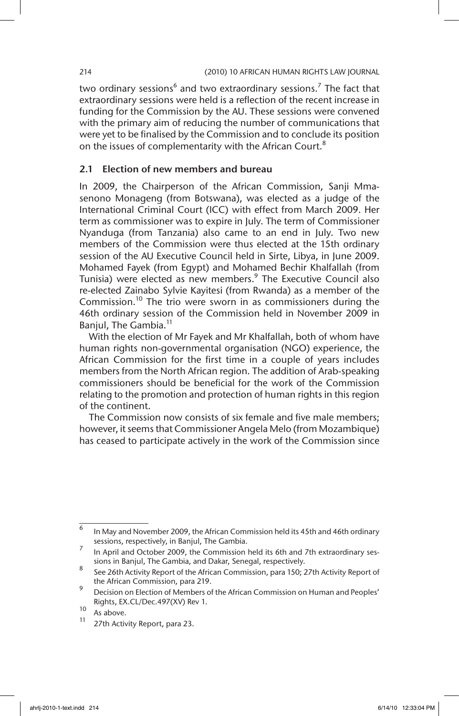two ordinary sessions<sup>6</sup> and two extraordinary sessions.<sup>7</sup> The fact that extraordinary sessions were held is a reflection of the recent increase in funding for the Commission by the AU. These sessions were convened with the primary aim of reducing the number of communications that were yet to be finalised by the Commission and to conclude its position on the issues of complementarity with the African Court.<sup>8</sup>

# 2.1 Election of new members and bureau

In 2009, the Chairperson of the African Commission, Sanji Mmasenono Monageng (from Botswana), was elected as a judge of the International Criminal Court (ICC) with effect from March 2009. Her term as commissioner was to expire in July. The term of Commissioner Nyanduga (from Tanzania) also came to an end in July. Two new members of the Commission were thus elected at the 15th ordinary session of the AU Executive Council held in Sirte, Libya, in June 2009. Mohamed Fayek (from Egypt) and Mohamed Bechir Khalfallah (from Tunisia) were elected as new members.<sup>9</sup> The Executive Council also re-elected Zainabo Sylvie Kayitesi (from Rwanda) as a member of the Commission.<sup>10</sup> The trio were sworn in as commissioners during the 46th ordinary session of the Commission held in November 2009 in Banjul, The Gambia.<sup>11</sup>

With the election of Mr Fayek and Mr Khalfallah, both of whom have human rights non-governmental organisation (NGO) experience, the African Commission for the first time in a couple of years includes members from the North African region. The addition of Arab-speaking commissioners should be beneficial for the work of the Commission relating to the promotion and protection of human rights in this region of the continent.

The Commission now consists of six female and five male members; however, it seems that Commissioner Angela Melo (from Mozambique) has ceased to participate actively in the work of the Commission since

<sup>6</sup> In May and November 2009, the African Commission held its 45th and 46th ordinary sessions, respectively, in Banjul, The Gambia.

In April and October 2009, the Commission held its 6th and 7th extraordinary sessions in Banjul, The Gambia, and Dakar, Senegal, respectively.

<sup>8</sup> See 26th Activity Report of the African Commission, para 150; 27th Activity Report of the African Commission, para 219.

<sup>9</sup> Decision on Election of Members of the African Commission on Human and Peoples' Rights, EX.CL/Dec.497(XV) Rev 1.

 $\frac{10}{11}$  As above.

<sup>27</sup>th Activity Report, para 23.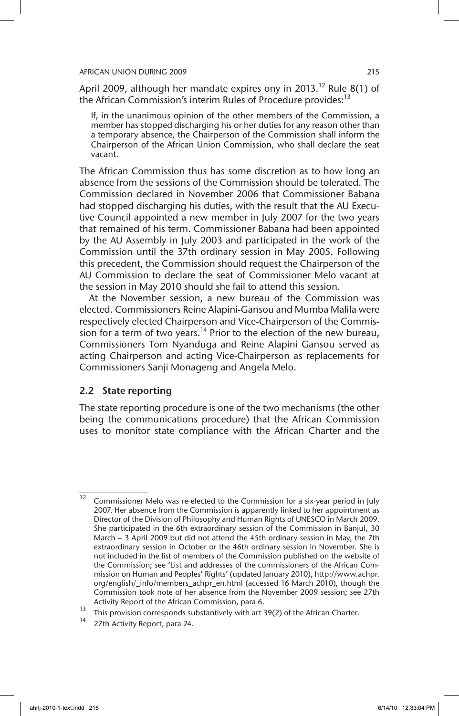April 2009, although her mandate expires ony in 2013.<sup>12</sup> Rule 8(1) of the African Commission's interim Rules of Procedure provides:<sup>13</sup>

If, in the unanimous opinion of the other members of the Commission, a member has stopped discharging his or her duties for any reason other than a temporary absence, the Chairperson of the Commission shall inform the Chairperson of the African Union Commission, who shall declare the seat vacant.

The African Commission thus has some discretion as to how long an absence from the sessions of the Commission should be tolerated. The Commission declared in November 2006 that Commissioner Babana had stopped discharging his duties, with the result that the AU Executive Council appointed a new member in July 2007 for the two years that remained of his term. Commissioner Babana had been appointed by the AU Assembly in July 2003 and participated in the work of the Commission until the 37th ordinary session in May 2005. Following this precedent, the Commission should request the Chairperson of the AU Commission to declare the seat of Commissioner Melo vacant at the session in May 2010 should she fail to attend this session.

At the November session, a new bureau of the Commission was elected. Commissioners Reine Alapini-Gansou and Mumba Malila were respectively elected Chairperson and Vice-Chairperson of the Commission for a term of two years.<sup>14</sup> Prior to the election of the new bureau, Commissioners Tom Nyanduga and Reine Alapini Gansou served as acting Chairperson and acting Vice-Chairperson as replacements for Commissioners Sanji Monageng and Angela Melo.

# 2.2 State reporting

The state reporting procedure is one of the two mechanisms (the other being the communications procedure) that the African Commission uses to monitor state compliance with the African Charter and the

 $\overline{12}$  Commissioner Melo was re-elected to the Commission for a six-year period in July 2007. Her absence from the Commission is apparently linked to her appointment as Director of the Division of Philosophy and Human Rights of UNESCO in March 2009. She participated in the 6th extraordinary session of the Commission in Banjul, 30 March – 3 April 2009 but did not attend the 45th ordinary session in May, the 7th extraordinary session in October or the 46th ordinary session in November. She is not included in the list of members of the Commission published on the website of the Commission; see 'List and addresses of the commissioners of the African Commission on Human and Peoples' Rights' (updated January 2010), http://www.achpr. org/english/\_info/members\_achpr\_en.html (accessed 16 March 2010), though the Commission took note of her absence from the November 2009 session; see 27th Activity Report of the African Commission, para 6.

<sup>13</sup> This provision corresponds substantively with art 39(2) of the African Charter.

<sup>27</sup>th Activity Report, para 24.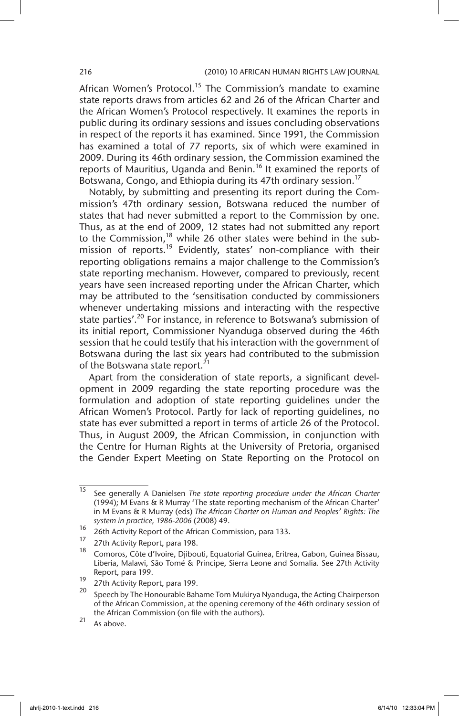African Women's Protocol.<sup>15</sup> The Commission's mandate to examine state reports draws from articles 62 and 26 of the African Charter and the African Women's Protocol respectively. It examines the reports in public during its ordinary sessions and issues concluding observations in respect of the reports it has examined. Since 1991, the Commission has examined a total of 77 reports, six of which were examined in 2009. During its 46th ordinary session, the Commission examined the reports of Mauritius, Uganda and Benin.<sup>16</sup> It examined the reports of Botswana, Congo, and Ethiopia during its 47th ordinary session.<sup>17</sup>

Notably, by submitting and presenting its report during the Commission's 47th ordinary session, Botswana reduced the number of states that had never submitted a report to the Commission by one. Thus, as at the end of 2009, 12 states had not submitted any report to the Commission,<sup>18</sup> while 26 other states were behind in the submission of reports.<sup>19</sup> Evidently, states' non-compliance with their reporting obligations remains a major challenge to the Commission's state reporting mechanism. However, compared to previously, recent years have seen increased reporting under the African Charter, which may be attributed to the 'sensitisation conducted by commissioners whenever undertaking missions and interacting with the respective state parties'.<sup>20</sup> For instance, in reference to Botswana's submission of its initial report, Commissioner Nyanduga observed during the 46th session that he could testify that his interaction with the government of Botswana during the last six years had contributed to the submission of the Botswana state report.<sup>21</sup>

Apart from the consideration of state reports, a significant development in 2009 regarding the state reporting procedure was the formulation and adoption of state reporting guidelines under the African Women's Protocol. Partly for lack of reporting guidelines, no state has ever submitted a report in terms of article 26 of the Protocol. Thus, in August 2009, the African Commission, in conjunction with the Centre for Human Rights at the University of Pretoria, organised the Gender Expert Meeting on State Reporting on the Protocol on

<sup>15</sup> See generally A Danielsen *The state reporting procedure under the African Charter* (1994); M Evans & R Murray 'The state reporting mechanism of the African Charter' in M Evans & R Murray (eds) *The African Charter on Human and Peoples' Rights: The system in practice, 1986-2006* (2008) 49.

<sup>&</sup>lt;sup>16</sup> 26th Activity Report of the African Commission, para 133.

 $\frac{17}{18}$  27th Activity Report, para 198.

<sup>18</sup> Comoros, Côte d'Ivoire, Djibouti, Equatorial Guinea, Eritrea, Gabon, Guinea Bissau, Liberia, Malawi, São Tomé & Principe, Sierra Leone and Somalia. See 27th Activity Report, para 199.

 $\frac{19}{20}$  27th Activity Report, para 199.

<sup>20</sup> Speech by The Honourable Bahame Tom Mukirya Nyanduga, the Acting Chairperson of the African Commission, at the opening ceremony of the 46th ordinary session of the African Commission (on file with the authors).

 $21$  As above.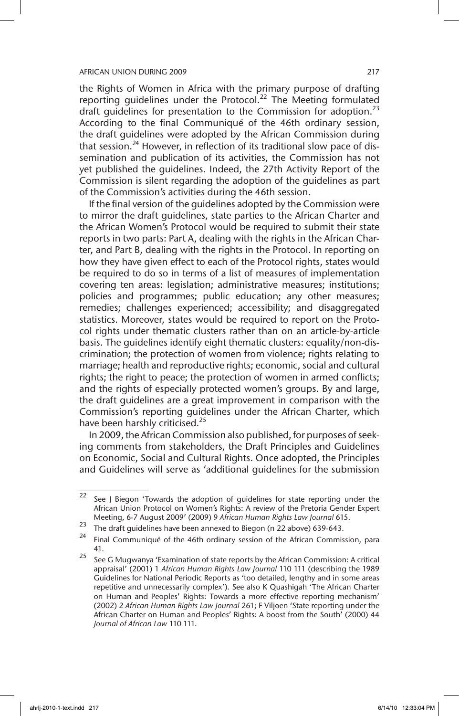the Rights of Women in Africa with the primary purpose of drafting reporting guidelines under the Protocol.<sup>22</sup> The Meeting formulated draft quidelines for presentation to the Commission for adoption.<sup>23</sup> According to the final Communiqué of the 46th ordinary session, the draft guidelines were adopted by the African Commission during that session.<sup>24</sup> However, in reflection of its traditional slow pace of dissemination and publication of its activities, the Commission has not yet published the guidelines. Indeed, the 27th Activity Report of the Commission is silent regarding the adoption of the guidelines as part of the Commission's activities during the 46th session.

If the final version of the guidelines adopted by the Commission were to mirror the draft guidelines, state parties to the African Charter and the African Women's Protocol would be required to submit their state reports in two parts: Part A, dealing with the rights in the African Charter, and Part B, dealing with the rights in the Protocol. In reporting on how they have given effect to each of the Protocol rights, states would be required to do so in terms of a list of measures of implementation covering ten areas: legislation; administrative measures; institutions; policies and programmes; public education; any other measures; remedies; challenges experienced; accessibility; and disaggregated statistics. Moreover, states would be required to report on the Protocol rights under thematic clusters rather than on an article-by-article basis. The guidelines identify eight thematic clusters: equality/non-discrimination; the protection of women from violence; rights relating to marriage; health and reproductive rights; economic, social and cultural rights; the right to peace; the protection of women in armed conflicts; and the rights of especially protected women's groups. By and large, the draft guidelines are a great improvement in comparison with the Commission's reporting guidelines under the African Charter, which have been harshly criticised.<sup>25</sup>

In 2009, the African Commission also published, for purposes of seeking comments from stakeholders, the Draft Principles and Guidelines on Economic, Social and Cultural Rights. Once adopted, the Principles and Guidelines will serve as 'additional guidelines for the submission

 $\frac{1}{22}$  See J Biegon 'Towards the adoption of quidelines for state reporting under the African Union Protocol on Women's Rights: A review of the Pretoria Gender Expert Meeting, 6-7 August 2009' (2009) 9 *African Human Rights Law Journal* 615.

<sup>23</sup> The draft guidelines have been annexed to Biegon (n 22 above) 639-643.

<sup>24</sup> Final Communiqué of the 46th ordinary session of the African Commission, para 41.

<sup>&</sup>lt;sup>25</sup> See G Mugwanya 'Examination of state reports by the African Commission: A critical appraisal' (2001) 1 *African Human Rights Law Journal* 110 111 (describing the 1989 Guidelines for National Periodic Reports as 'too detailed, lengthy and in some areas repetitive and unnecessarily complex'). See also K Quashigah 'The African Charter on Human and Peoples' Rights: Towards a more effective reporting mechanism' (2002) 2 *African Human Rights Law Journal* 261; F Viljoen 'State reporting under the African Charter on Human and Peoples' Rights: A boost from the South' (2000) 44 *Journal of African Law* 110 111.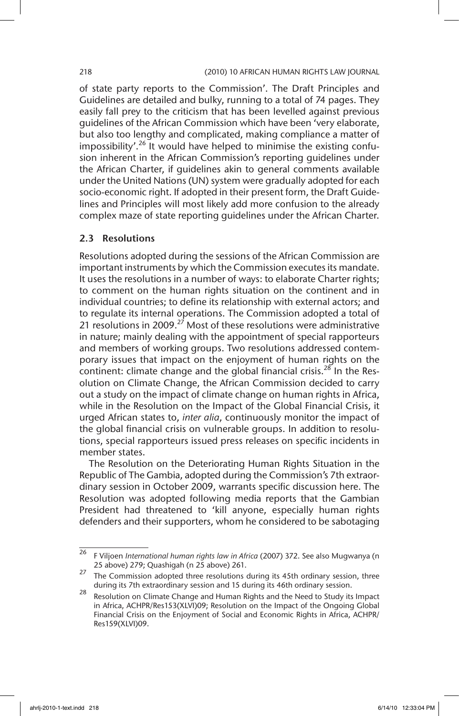of state party reports to the Commission'. The Draft Principles and Guidelines are detailed and bulky, running to a total of 74 pages. They easily fall prey to the criticism that has been levelled against previous guidelines of the African Commission which have been 'very elaborate, but also too lengthy and complicated, making compliance a matter of impossibility'.<sup>26</sup> It would have helped to minimise the existing confusion inherent in the African Commission's reporting guidelines under the African Charter, if guidelines akin to general comments available under the United Nations (UN) system were gradually adopted for each socio-economic right. If adopted in their present form, the Draft Guidelines and Principles will most likely add more confusion to the already complex maze of state reporting guidelines under the African Charter.

## 2.3 Resolutions

Resolutions adopted during the sessions of the African Commission are important instruments by which the Commission executes its mandate. It uses the resolutions in a number of ways: to elaborate Charter rights; to comment on the human rights situation on the continent and in individual countries; to define its relationship with external actors; and to regulate its internal operations. The Commission adopted a total of  $21$  resolutions in 2009.<sup>27</sup> Most of these resolutions were administrative in nature; mainly dealing with the appointment of special rapporteurs and members of working groups. Two resolutions addressed contemporary issues that impact on the enjoyment of human rights on the continent: climate change and the global financial crisis.<sup>28</sup> In the Resolution on Climate Change, the African Commission decided to carry out a study on the impact of climate change on human rights in Africa, while in the Resolution on the Impact of the Global Financial Crisis, it urged African states to, *inter alia*, continuously monitor the impact of the global financial crisis on vulnerable groups. In addition to resolutions, special rapporteurs issued press releases on specific incidents in member states.

The Resolution on the Deteriorating Human Rights Situation in the Republic of The Gambia, adopted during the Commission's 7th extraordinary session in October 2009, warrants specific discussion here. The Resolution was adopted following media reports that the Gambian President had threatened to 'kill anyone, especially human rights defenders and their supporters, whom he considered to be sabotaging

<sup>26</sup> F Viljoen *International human rights law in Africa* (2007) 372. See also Mugwanya (n 25 above) 279; Quashigah (n 25 above) 261.

<sup>&</sup>lt;sup>27</sup> The Commission adopted three resolutions during its 45th ordinary session, three during its 7th extraordinary session and 15 during its 46th ordinary session.

<sup>28</sup> Resolution on Climate Change and Human Rights and the Need to Study its Impact in Africa, ACHPR/Res153(XLVI)09; Resolution on the Impact of the Ongoing Global Financial Crisis on the Enjoyment of Social and Economic Rights in Africa, ACHPR/ Res159(XLVI)09.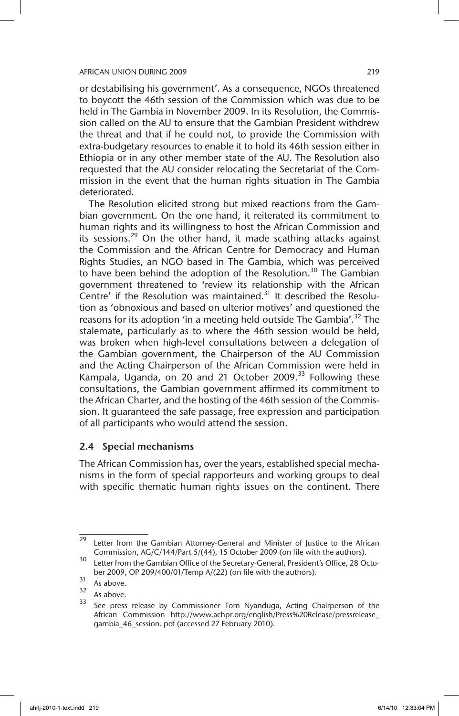or destabilising his government'. As a consequence, NGOs threatened to boycott the 46th session of the Commission which was due to be held in The Gambia in November 2009. In its Resolution, the Commission called on the AU to ensure that the Gambian President withdrew the threat and that if he could not, to provide the Commission with extra-budgetary resources to enable it to hold its 46th session either in Ethiopia or in any other member state of the AU. The Resolution also requested that the AU consider relocating the Secretariat of the Commission in the event that the human rights situation in The Gambia deteriorated.

The Resolution elicited strong but mixed reactions from the Gambian government. On the one hand, it reiterated its commitment to human rights and its willingness to host the African Commission and its sessions.<sup>29</sup> On the other hand, it made scathing attacks against the Commission and the African Centre for Democracy and Human Rights Studies, an NGO based in The Gambia, which was perceived to have been behind the adoption of the Resolution.<sup>30</sup> The Gambian government threatened to 'review its relationship with the African Centre' if the Resolution was maintained. $31$  It described the Resolution as 'obnoxious and based on ulterior motives' and questioned the reasons for its adoption 'in a meeting held outside The Gambia'.<sup>32</sup> The stalemate, particularly as to where the 46th session would be held, was broken when high-level consultations between a delegation of the Gambian government, the Chairperson of the AU Commission and the Acting Chairperson of the African Commission were held in Kampala, Uganda, on 20 and 21 October 2009. $33$  Following these consultations, the Gambian government affirmed its commitment to the African Charter, and the hosting of the 46th session of the Commission. It guaranteed the safe passage, free expression and participation of all participants who would attend the session.

# 2.4 Special mechanisms

The African Commission has, over the years, established special mechanisms in the form of special rapporteurs and working groups to deal with specific thematic human rights issues on the continent. There

<sup>&</sup>lt;sup>29</sup> Letter from the Gambian Attorney-General and Minister of Justice to the African Commission, AG/C/144/Part 5/(44), 15 October 2009 (on file with the authors).

<sup>&</sup>lt;sup>30</sup> Letter from the Gambian Office of the Secretary-General, President's Office, 28 October 2009, OP 209/400/01/Temp A/(22) (on file with the authors).

 $\frac{31}{32}$  As above.

 $\frac{32}{33}$  As above.

See press release by Commissioner Tom Nyanduga, Acting Chairperson of the African Commission http://www.achpr.org/english/Press%20Release/pressrelease\_ gambia\_46\_session. pdf (accessed 27 February 2010).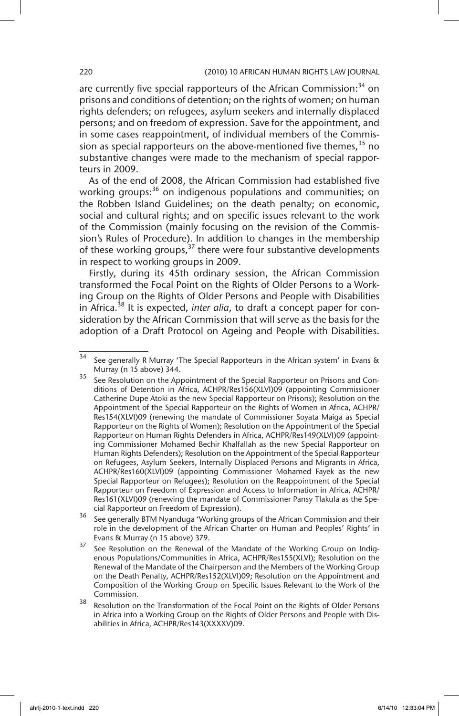are currently five special rapporteurs of the African Commission: $34$  on prisons and conditions of detention; on the rights of women; on human rights defenders; on refugees, asylum seekers and internally displaced persons; and on freedom of expression. Save for the appointment, and in some cases reappointment, of individual members of the Commission as special rapporteurs on the above-mentioned five themes,  $35$  no substantive changes were made to the mechanism of special rapporteurs in 2009.

As of the end of 2008, the African Commission had established five working groups:<sup>36</sup> on indigenous populations and communities; on the Robben Island Guidelines; on the death penalty; on economic, social and cultural rights; and on specific issues relevant to the work of the Commission (mainly focusing on the revision of the Commission's Rules of Procedure). In addition to changes in the membership of these working groups, $37$  there were four substantive developments in respect to working groups in 2009.

Firstly, during its 45th ordinary session, the African Commission transformed the Focal Point on the Rights of Older Persons to a Working Group on the Rights of Older Persons and People with Disabilities in Africa.<sup>38</sup> It is expected, *inter alia*, to draft a concept paper for consideration by the African Commission that will serve as the basis for the adoption of a Draft Protocol on Ageing and People with Disabilities.

 $\frac{34}{34}$  See generally R Murray 'The Special Rapporteurs in the African system' in Evans & Murray (n 15 above) 344.

See Resolution on the Appointment of the Special Rapporteur on Prisons and Conditions of Detention in Africa, ACHPR/Res156(XLVI)09 (appointing Commissioner Catherine Dupe Atoki as the new Special Rapporteur on Prisons); Resolution on the Appointment of the Special Rapporteur on the Rights of Women in Africa, ACHPR/ Res154(XLVI)09 (renewing the mandate of Commissioner Soyata Maiga as Special Rapporteur on the Rights of Women); Resolution on the Appointment of the Special Rapporteur on Human Rights Defenders in Africa, ACHPR/Res149(XLVI)09 (appointing Commissioner Mohamed Bechir Khalfallah as the new Special Rapporteur on Human Rights Defenders); Resolution on the Appointment of the Special Rapporteur on Refugees, Asylum Seekers, Internally Displaced Persons and Migrants in Africa, ACHPR/Res160(XLVI)09 (appointing Commissioner Mohamed Fayek as the new Special Rapporteur on Refugees); Resolution on the Reappointment of the Special Rapporteur on Freedom of Expression and Access to Information in Africa, ACHPR/ Res161(XLVI)09 (renewing the mandate of Commissioner Pansy Tlakula as the Special Rapporteur on Freedom of Expression).

<sup>&</sup>lt;sup>36</sup> See generally BTM Nyanduga 'Working groups of the African Commission and their role in the development of the African Charter on Human and Peoples' Rights' in Evans & Murray (n 15 above) 379.

<sup>&</sup>lt;sup>37</sup> See Resolution on the Renewal of the Mandate of the Working Group on Indigenous Populations/Communities in Africa, ACHPR/Res155(XLVI); Resolution on the Renewal of the Mandate of the Chairperson and the Members of the Working Group on the Death Penalty, ACHPR/Res152(XLVI)09; Resolution on the Appointment and Composition of the Working Group on Specific Issues Relevant to the Work of the Commission.

<sup>&</sup>lt;sup>38</sup> Resolution on the Transformation of the Focal Point on the Rights of Older Persons in Africa into a Working Group on the Rights of Older Persons and People with Disabilities in Africa, ACHPR/Res143(XXXXV)09.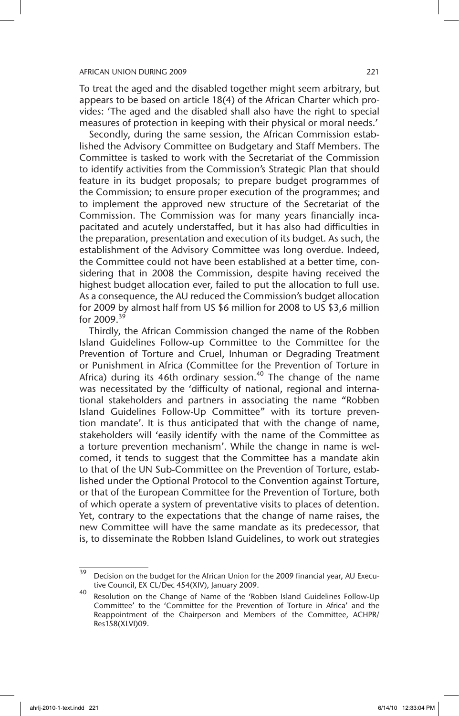To treat the aged and the disabled together might seem arbitrary, but appears to be based on article 18(4) of the African Charter which provides: 'The aged and the disabled shall also have the right to special measures of protection in keeping with their physical or moral needs.'

Secondly, during the same session, the African Commission established the Advisory Committee on Budgetary and Staff Members. The Committee is tasked to work with the Secretariat of the Commission to identify activities from the Commission's Strategic Plan that should feature in its budget proposals; to prepare budget programmes of the Commission; to ensure proper execution of the programmes; and to implement the approved new structure of the Secretariat of the Commission. The Commission was for many years financially incapacitated and acutely understaffed, but it has also had difficulties in the preparation, presentation and execution of its budget. As such, the establishment of the Advisory Committee was long overdue. Indeed, the Committee could not have been established at a better time, considering that in 2008 the Commission, despite having received the highest budget allocation ever, failed to put the allocation to full use. As a consequence, the AU reduced the Commission's budget allocation for 2009 by almost half from US \$6 million for 2008 to US \$3,6 million for  $2009.<sup>39</sup>$ 

Thirdly, the African Commission changed the name of the Robben Island Guidelines Follow-up Committee to the Committee for the Prevention of Torture and Cruel, Inhuman or Degrading Treatment or Punishment in Africa (Committee for the Prevention of Torture in Africa) during its 46th ordinary session.<sup>40</sup> The change of the name was necessitated by the 'difficulty of national, regional and international stakeholders and partners in associating the name "Robben Island Guidelines Follow-Up Committee" with its torture prevention mandate'. It is thus anticipated that with the change of name, stakeholders will 'easily identify with the name of the Committee as a torture prevention mechanism'. While the change in name is welcomed, it tends to suggest that the Committee has a mandate akin to that of the UN Sub-Committee on the Prevention of Torture, established under the Optional Protocol to the Convention against Torture, or that of the European Committee for the Prevention of Torture, both of which operate a system of preventative visits to places of detention. Yet, contrary to the expectations that the change of name raises, the new Committee will have the same mandate as its predecessor, that is, to disseminate the Robben Island Guidelines, to work out strategies

<sup>&</sup>lt;sup>39</sup> Decision on the budget for the African Union for the 2009 financial year, AU Executive Council, EX CL/Dec 454(XIV), January 2009.

<sup>40</sup> Resolution on the Change of Name of the 'Robben Island Guidelines Follow-Up Committee' to the 'Committee for the Prevention of Torture in Africa' and the Reappointment of the Chairperson and Members of the Committee, ACHPR/ Res158(XLVI)09.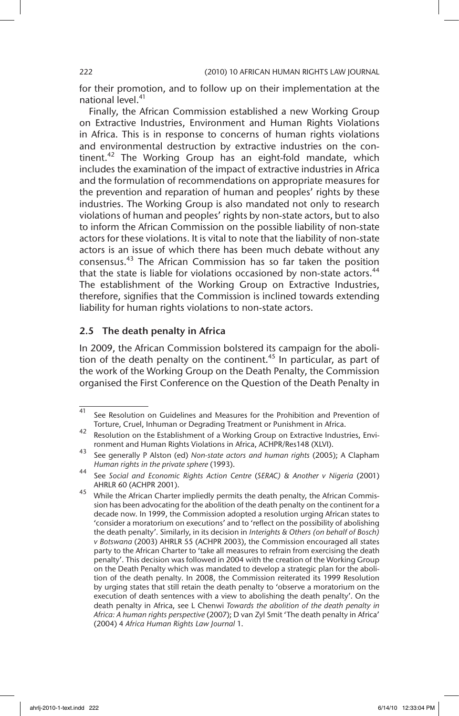for their promotion, and to follow up on their implementation at the national level.<sup>41</sup>

Finally, the African Commission established a new Working Group on Extractive Industries, Environment and Human Rights Violations in Africa. This is in response to concerns of human rights violations and environmental destruction by extractive industries on the continent. $42$  The Working Group has an eight-fold mandate, which includes the examination of the impact of extractive industries in Africa and the formulation of recommendations on appropriate measures for the prevention and reparation of human and peoples' rights by these industries. The Working Group is also mandated not only to research violations of human and peoples' rights by non-state actors, but to also to inform the African Commission on the possible liability of non-state actors for these violations. It is vital to note that the liability of non-state actors is an issue of which there has been much debate without any consensus.43 The African Commission has so far taken the position that the state is liable for violations occasioned by non-state actors.<sup>44</sup> The establishment of the Working Group on Extractive Industries, therefore, signifies that the Commission is inclined towards extending liability for human rights violations to non-state actors.

# 2.5 The death penalty in Africa

In 2009, the African Commission bolstered its campaign for the abolition of the death penalty on the continent.<sup>45</sup> In particular, as part of the work of the Working Group on the Death Penalty, the Commission organised the First Conference on the Question of the Death Penalty in

 $\frac{41}{41}$  See Resolution on Guidelines and Measures for the Prohibition and Prevention of Torture, Cruel, Inhuman or Degrading Treatment or Punishment in Africa.

<sup>42</sup> Resolution on the Establishment of a Working Group on Extractive Industries, Environment and Human Rights Violations in Africa, ACHPR/Res148 (XLVI).

<sup>43</sup> See generally P Alston (ed) *Non-state actors and human rights* (2005); A Clapham *Human rights in the private sphere* (1993).

<sup>44</sup> See *Social and Economic Rights Action Centre* (*SERAC) & Another v Nigeria* (2001) AHRLR 60 (ACHPR 2001).

 $45$  While the African Charter impliedly permits the death penalty, the African Commission has been advocating for the abolition of the death penalty on the continent for a decade now. In 1999, the Commission adopted a resolution urging African states to 'consider a moratorium on executions' and to 'reflect on the possibility of abolishing the death penalty'. Similarly, in its decision in *Interights & Others (on behalf of Bosch) v Botswana* (2003) AHRLR 55 (ACHPR 2003), the Commission encouraged all states party to the African Charter to 'take all measures to refrain from exercising the death penalty'. This decision was followed in 2004 with the creation of the Working Group on the Death Penalty which was mandated to develop a strategic plan for the abolition of the death penalty. In 2008, the Commission reiterated its 1999 Resolution by urging states that still retain the death penalty to 'observe a moratorium on the execution of death sentences with a view to abolishing the death penalty'. On the death penalty in Africa, see L Chenwi *Towards the abolition of the death penalty in Africa: A human rights perspective* (2007); D van Zyl Smit 'The death penalty in Africa' (2004) 4 *Africa Human Rights Law Journal* 1.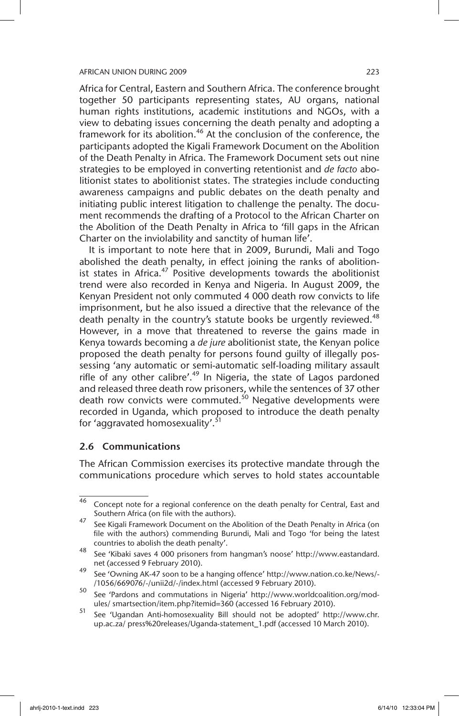Africa for Central, Eastern and Southern Africa. The conference brought together 50 participants representing states, AU organs, national human rights institutions, academic institutions and NGOs, with a view to debating issues concerning the death penalty and adopting a framework for its abolition.<sup>46</sup> At the conclusion of the conference, the participants adopted the Kigali Framework Document on the Abolition of the Death Penalty in Africa. The Framework Document sets out nine strategies to be employed in converting retentionist and *de facto* abolitionist states to abolitionist states. The strategies include conducting awareness campaigns and public debates on the death penalty and initiating public interest litigation to challenge the penalty. The document recommends the drafting of a Protocol to the African Charter on the Abolition of the Death Penalty in Africa to 'fill gaps in the African Charter on the inviolability and sanctity of human life'.

It is important to note here that in 2009, Burundi, Mali and Togo abolished the death penalty, in effect joining the ranks of abolitionist states in Africa. $47$  Positive developments towards the abolitionist trend were also recorded in Kenya and Nigeria. In August 2009, the Kenyan President not only commuted 4 000 death row convicts to life imprisonment, but he also issued a directive that the relevance of the death penalty in the country's statute books be urgently reviewed. $48$ However, in a move that threatened to reverse the gains made in Kenya towards becoming a *de jure* abolitionist state, the Kenyan police proposed the death penalty for persons found guilty of illegally possessing 'any automatic or semi-automatic self-loading military assault rifle of any other calibre'.<sup>49</sup> In Nigeria, the state of Lagos pardoned and released three death row prisoners, while the sentences of 37 other death row convicts were commuted.<sup>50</sup> Negative developments were recorded in Uganda, which proposed to introduce the death penalty for 'aggravated homosexuality'.<sup>51</sup>

### 2.6 Communications

The African Commission exercises its protective mandate through the communications procedure which serves to hold states accountable

<sup>&</sup>lt;sup>46</sup> Concept note for a regional conference on the death penalty for Central, East and Southern Africa (on file with the authors).

<sup>&</sup>lt;sup>47</sup> See Kigali Framework Document on the Abolition of the Death Penalty in Africa (on file with the authors) commending Burundi, Mali and Togo 'for being the latest countries to abolish the death penalty'.

<sup>48</sup> See 'Kibaki saves 4 000 prisoners from hangman's noose' http://www.eastandard. net (accessed 9 February 2010).

<sup>49</sup> See 'Owning AK-47 soon to be a hanging offence' http://www.nation.co.ke/News/- /1056/669076/-/unii2d/-/index.html (accessed 9 February 2010).

<sup>50</sup> See 'Pardons and commutations in Nigeria' http://www.worldcoalition.org/modules/ smartsection/item.php?itemid=360 (accessed 16 February 2010).

<sup>51</sup> See 'Ugandan Anti-homosexuality Bill should not be adopted' http://www.chr. up.ac.za/ press%20releases/Uganda-statement\_1.pdf (accessed 10 March 2010).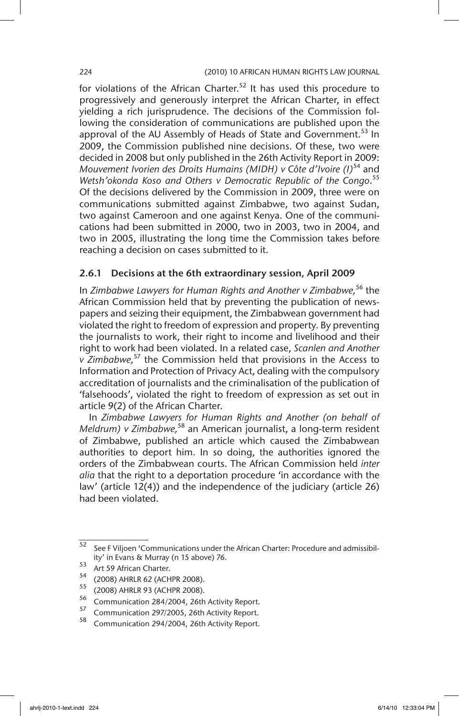for violations of the African Charter.<sup>52</sup> It has used this procedure to progressively and generously interpret the African Charter, in effect yielding a rich jurisprudence. The decisions of the Commission following the consideration of communications are published upon the approval of the AU Assembly of Heads of State and Government.<sup>53</sup> In 2009, the Commission published nine decisions. Of these, two were decided in 2008 but only published in the 26th Activity Report in 2009: *Mouvement Ivorien des Droits Humains (MIDH) v Côte d'Ivoire (I)*54 and *Wetsh'okonda Koso and Others v Democratic Republic of the Congo*. 55 Of the decisions delivered by the Commission in 2009, three were on communications submitted against Zimbabwe, two against Sudan, two against Cameroon and one against Kenya. One of the communications had been submitted in 2000, two in 2003, two in 2004, and two in 2005, illustrating the long time the Commission takes before reaching a decision on cases submitted to it.

# 2.6.1 Decisions at the 6th extraordinary session, April 2009

In *Zimbabwe Lawyers for Human Rights and Another v Zimbabwe,*56 the African Commission held that by preventing the publication of newspapers and seizing their equipment, the Zimbabwean government had violated the right to freedom of expression and property. By preventing the journalists to work, their right to income and livelihood and their right to work had been violated. In a related case, *Scanlen and Another v Zimbabwe,*<sup>57</sup> the Commission held that provisions in the Access to Information and Protection of Privacy Act, dealing with the compulsory accreditation of journalists and the criminalisation of the publication of 'falsehoods', violated the right to freedom of expression as set out in article 9(2) of the African Charter.

In *Zimbabwe Lawyers for Human Rights and Another (on behalf of Meldrum) v Zimbabwe,*<sup>58</sup> an American journalist, a long-term resident of Zimbabwe, published an article which caused the Zimbabwean authorities to deport him. In so doing, the authorities ignored the orders of the Zimbabwean courts. The African Commission held *inter alia* that the right to a deportation procedure 'in accordance with the law' (article 12(4)) and the independence of the judiciary (article 26) had been violated.

 $\frac{52}{52}$  See F Viljoen 'Communications under the African Charter: Procedure and admissibility' in Evans & Murray (n 15 above) 76.

 $53$  Art 59 African Charter.

 $^{54}$  (2008) AHRLR 62 (ACHPR 2008).

 $^{55}$  (2008) AHRLR 93 (ACHPR 2008).

 $^{56}$  Communication 284/2004, 26th Activity Report.

 $^{57}$  Communication 297/2005, 26th Activity Report.

Communication 294/2004, 26th Activity Report.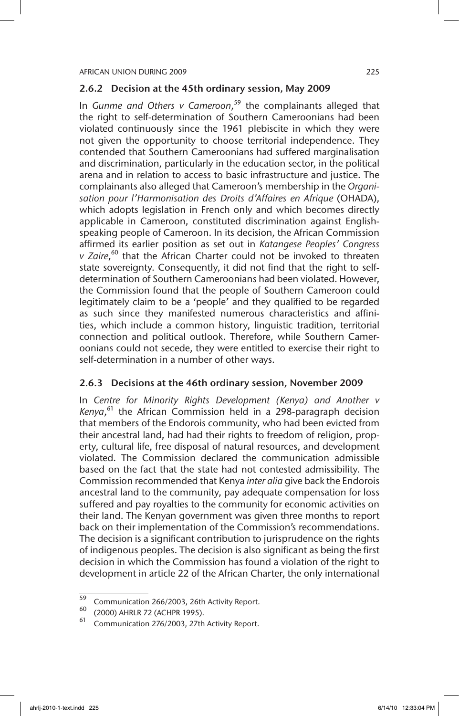# 2.6.2 Decision at the 45th ordinary session, May 2009

In *Gunme and Others v Cameroon*, 59 the complainants alleged that the right to self-determination of Southern Cameroonians had been violated continuously since the 1961 plebiscite in which they were not given the opportunity to choose territorial independence. They contended that Southern Cameroonians had suffered marginalisation and discrimination, particularly in the education sector, in the political arena and in relation to access to basic infrastructure and justice. The complainants also alleged that Cameroon's membership in the *Organisation pour l'Harmonisation des Droits d'Affaires en Afrique* (OHADA), which adopts legislation in French only and which becomes directly applicable in Cameroon, constituted discrimination against Englishspeaking people of Cameroon. In its decision, the African Commission affirmed its earlier position as set out in *Katangese Peoples' Congress*  v Zaire,<sup>60</sup> that the African Charter could not be invoked to threaten state sovereignty. Consequently, it did not find that the right to selfdetermination of Southern Cameroonians had been violated. However, the Commission found that the people of Southern Cameroon could legitimately claim to be a 'people' and they qualified to be regarded as such since they manifested numerous characteristics and affinities, which include a common history, linguistic tradition, territorial connection and political outlook. Therefore, while Southern Cameroonians could not secede, they were entitled to exercise their right to self-determination in a number of other ways.

# 2.6.3 Decisions at the 46th ordinary session, November 2009

In *Centre for Minority Rights Development (Kenya) and Another v Kenya*, 61 the African Commission held in a 298-paragraph decision that members of the Endorois community, who had been evicted from their ancestral land, had had their rights to freedom of religion, property, cultural life, free disposal of natural resources, and development violated. The Commission declared the communication admissible based on the fact that the state had not contested admissibility. The Commission recommended that Kenya *inter alia* give back the Endorois ancestral land to the community, pay adequate compensation for loss suffered and pay royalties to the community for economic activities on their land. The Kenyan government was given three months to report back on their implementation of the Commission's recommendations. The decision is a significant contribution to jurisprudence on the rights of indigenous peoples. The decision is also significant as being the first decision in which the Commission has found a violation of the right to development in article 22 of the African Charter, the only international

 $\frac{59}{59}$  Communication 266/2003, 26th Activity Report.

<sup>(2000)</sup> AHRLR 72 (ACHPR 1995).

Communication 276/2003, 27th Activity Report.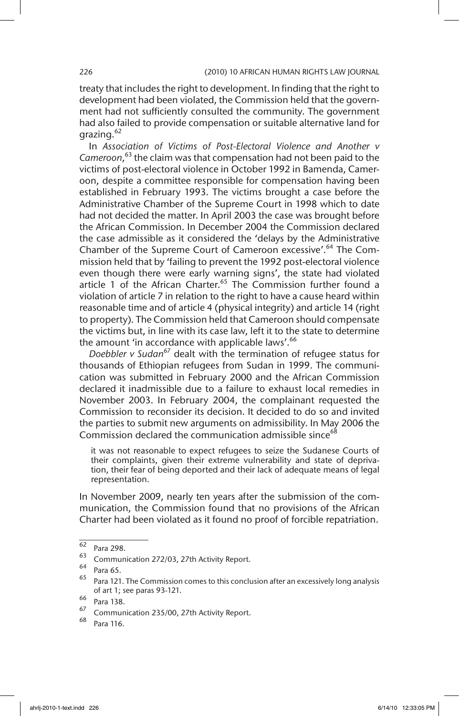treaty that includes the right to development. In finding that the right to development had been violated, the Commission held that the government had not sufficiently consulted the community. The government had also failed to provide compensation or suitable alternative land for grazing.<sup>62</sup>

In *Association of Victims of Post-Electoral Violence and Another v Cameroon*, 63 the claim was that compensation had not been paid to the victims of post-electoral violence in October 1992 in Bamenda, Cameroon, despite a committee responsible for compensation having been established in February 1993. The victims brought a case before the Administrative Chamber of the Supreme Court in 1998 which to date had not decided the matter. In April 2003 the case was brought before the African Commission. In December 2004 the Commission declared the case admissible as it considered the 'delays by the Administrative Chamber of the Supreme Court of Cameroon excessive'.<sup>64</sup> The Commission held that by 'failing to prevent the 1992 post-electoral violence even though there were early warning signs', the state had violated article 1 of the African Charter.<sup>65</sup> The Commission further found a violation of article 7 in relation to the right to have a cause heard within reasonable time and of article 4 (physical integrity) and article 14 (right to property). The Commission held that Cameroon should compensate the victims but, in line with its case law, left it to the state to determine the amount 'in accordance with applicable laws'.<sup>66</sup>

*Doebbler v Sudan<sup>67</sup>* dealt with the termination of refugee status for thousands of Ethiopian refugees from Sudan in 1999. The communication was submitted in February 2000 and the African Commission declared it inadmissible due to a failure to exhaust local remedies in November 2003. In February 2004, the complainant requested the Commission to reconsider its decision. It decided to do so and invited the parties to submit new arguments on admissibility. In May 2006 the Commission declared the communication admissible since<sup>68</sup>

it was not reasonable to expect refugees to seize the Sudanese Courts of their complaints, given their extreme vulnerability and state of deprivation, their fear of being deported and their lack of adequate means of legal representation.

In November 2009, nearly ten years after the submission of the communication, the Commission found that no provisions of the African Charter had been violated as it found no proof of forcible repatriation.

 $\frac{62}{63}$  Para 298.

Communication 272/03, 27th Activity Report.

 $64$  Para 65.

Para 121. The Commission comes to this conclusion after an excessively long analysis of art 1; see paras 93-121.

 $^{66}$  Para 138.

 $^{67}$  Communication 235/00, 27th Activity Report.

Para 116.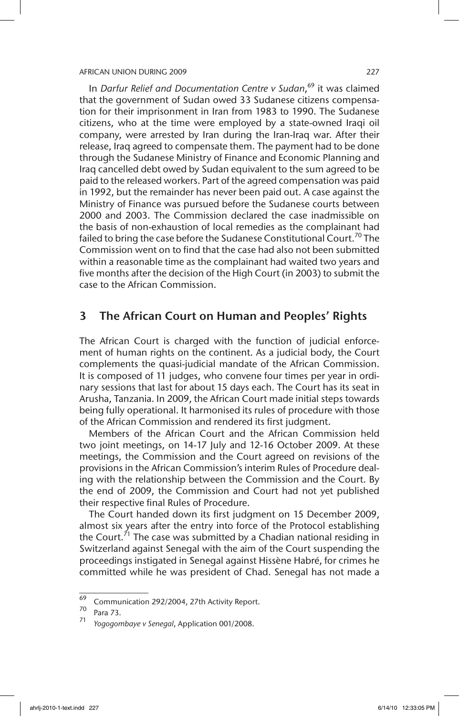In *Darfur Relief and Documentation Centre v Sudan*, 69 it was claimed that the government of Sudan owed 33 Sudanese citizens compensation for their imprisonment in Iran from 1983 to 1990. The Sudanese citizens, who at the time were employed by a state-owned Iraqi oil company, were arrested by Iran during the Iran-Iraq war. After their release, Iraq agreed to compensate them. The payment had to be done through the Sudanese Ministry of Finance and Economic Planning and Iraq cancelled debt owed by Sudan equivalent to the sum agreed to be paid to the released workers. Part of the agreed compensation was paid in 1992, but the remainder has never been paid out. A case against the Ministry of Finance was pursued before the Sudanese courts between 2000 and 2003. The Commission declared the case inadmissible on the basis of non-exhaustion of local remedies as the complainant had failed to bring the case before the Sudanese Constitutional Court.<sup>70</sup> The Commission went on to find that the case had also not been submitted within a reasonable time as the complainant had waited two years and five months after the decision of the High Court (in 2003) to submit the case to the African Commission.

# 3 The African Court on Human and Peoples' Rights

The African Court is charged with the function of judicial enforcement of human rights on the continent. As a judicial body, the Court complements the quasi-judicial mandate of the African Commission. It is composed of 11 judges, who convene four times per year in ordinary sessions that last for about 15 days each. The Court has its seat in Arusha, Tanzania. In 2009, the African Court made initial steps towards being fully operational. It harmonised its rules of procedure with those of the African Commission and rendered its first judgment.

Members of the African Court and the African Commission held two joint meetings, on 14-17 July and 12-16 October 2009. At these meetings, the Commission and the Court agreed on revisions of the provisions in the African Commission's interim Rules of Procedure dealing with the relationship between the Commission and the Court. By the end of 2009, the Commission and Court had not yet published their respective final Rules of Procedure.

The Court handed down its first judgment on 15 December 2009, almost six years after the entry into force of the Protocol establishing the Court.<sup>71</sup> The case was submitted by a Chadian national residing in Switzerland against Senegal with the aim of the Court suspending the proceedings instigated in Senegal against Hissène Habré, for crimes he committed while he was president of Chad. Senegal has not made a

 $\frac{69}{69}$  Communication 292/2004, 27th Activity Report.

Para 73.

<sup>71</sup> *Yogogombaye v Senegal*, Application 001/2008.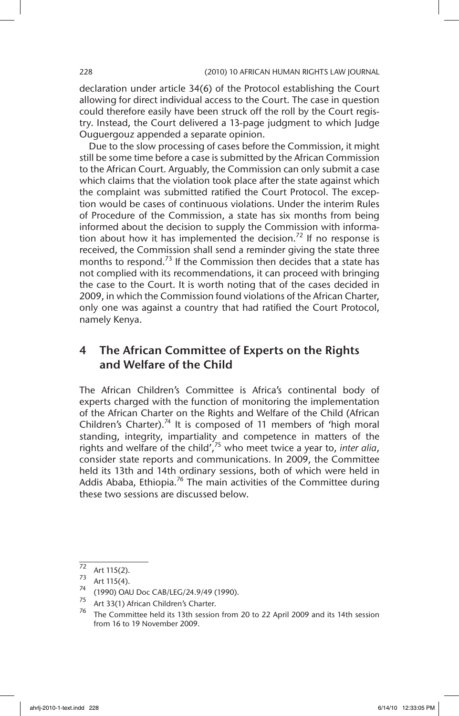declaration under article 34(6) of the Protocol establishing the Court allowing for direct individual access to the Court. The case in question could therefore easily have been struck off the roll by the Court registry. Instead, the Court delivered a 13-page judgment to which Judge Ouguergouz appended a separate opinion.

Due to the slow processing of cases before the Commission, it might still be some time before a case is submitted by the African Commission to the African Court. Arguably, the Commission can only submit a case which claims that the violation took place after the state against which the complaint was submitted ratified the Court Protocol. The exception would be cases of continuous violations. Under the interim Rules of Procedure of the Commission, a state has six months from being informed about the decision to supply the Commission with information about how it has implemented the decision.<sup>72</sup> If no response is received, the Commission shall send a reminder giving the state three months to respond.<sup>73</sup> If the Commission then decides that a state has not complied with its recommendations, it can proceed with bringing the case to the Court. It is worth noting that of the cases decided in 2009, in which the Commission found violations of the African Charter, only one was against a country that had ratified the Court Protocol, namely Kenya.

# 4 The African Committee of Experts on the Rights and Welfare of the Child

The African Children's Committee is Africa's continental body of experts charged with the function of monitoring the implementation of the African Charter on the Rights and Welfare of the Child (African Children's Charter).74 It is composed of 11 members of 'high moral standing, integrity, impartiality and competence in matters of the rights and welfare of the child',75 who meet twice a year to, *inter alia*, consider state reports and communications. In 2009, the Committee held its 13th and 14th ordinary sessions, both of which were held in Addis Ababa, Ethiopia.<sup>76</sup> The main activities of the Committee during these two sessions are discussed below.

 $\frac{72}{72}$  Art 115(2).

 $\frac{73}{74}$  Art 115(4).

 $^{74}$  (1990) OAU Doc CAB/LEG/24.9/49 (1990).

Art 33(1) African Children's Charter.

<sup>76</sup> The Committee held its 13th session from 20 to 22 April 2009 and its 14th session from 16 to 19 November 2009.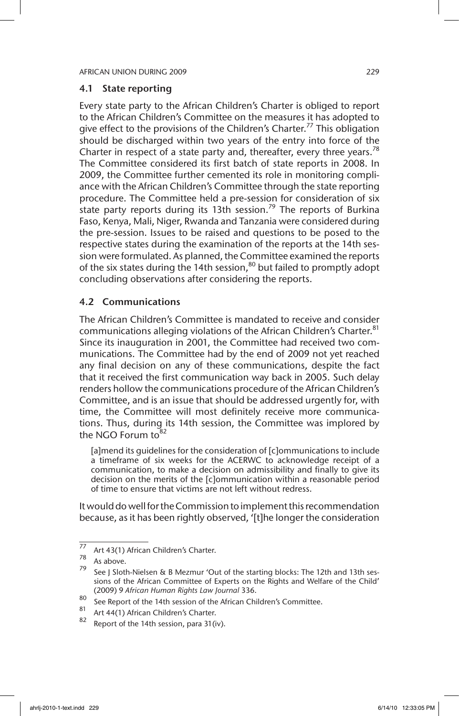### 4.1 State reporting

Every state party to the African Children's Charter is obliged to report to the African Children's Committee on the measures it has adopted to give effect to the provisions of the Children's Charter.<sup>77</sup> This obligation should be discharged within two years of the entry into force of the Charter in respect of a state party and, thereafter, every three years.<sup>78</sup> The Committee considered its first batch of state reports in 2008. In 2009, the Committee further cemented its role in monitoring compliance with the African Children's Committee through the state reporting procedure. The Committee held a pre-session for consideration of six state party reports during its 13th session.<sup>79</sup> The reports of Burkina Faso, Kenya, Mali, Niger, Rwanda and Tanzania were considered during the pre-session. Issues to be raised and questions to be posed to the respective states during the examination of the reports at the 14th session were formulated. As planned, the Committee examined the reports of the six states during the 14th session, $80$  but failed to promptly adopt concluding observations after considering the reports.

# 4.2 Communications

The African Children's Committee is mandated to receive and consider communications alleging violations of the African Children's Charter.<sup>81</sup> Since its inauguration in 2001, the Committee had received two communications. The Committee had by the end of 2009 not yet reached any final decision on any of these communications, despite the fact that it received the first communication way back in 2005. Such delay renders hollow the communications procedure of the African Children's Committee, and is an issue that should be addressed urgently for, with time, the Committee will most definitely receive more communications. Thus, during its 14th session, the Committee was implored by the NGO Forum  $to<sup>82</sup>$ 

[a]mend its guidelines for the consideration of [c]ommunications to include a timeframe of six weeks for the ACERWC to acknowledge receipt of a communication, to make a decision on admissibility and finally to give its decision on the merits of the [c]ommunication within a reasonable period of time to ensure that victims are not left without redress.

It would do well for the Commission to implement this recommendation because, as it has been rightly observed, '[t]he longer the consideration

<sup>77</sup> Art 43(1) African Children's Charter.

 $\frac{78}{79}$  As above.

See J Sloth-Nielsen & B Mezmur 'Out of the starting blocks: The 12th and 13th sessions of the African Committee of Experts on the Rights and Welfare of the Child' (2009) 9 *African Human Rights Law Journal* 336.

<sup>80</sup> See Report of the 14th session of the African Children's Committee.

<sup>&</sup>lt;sup>81</sup> Art 44(1) African Children's Charter.<br>82 Depart of the 14th against noise 21/2

Report of the 14th session, para 31(iv).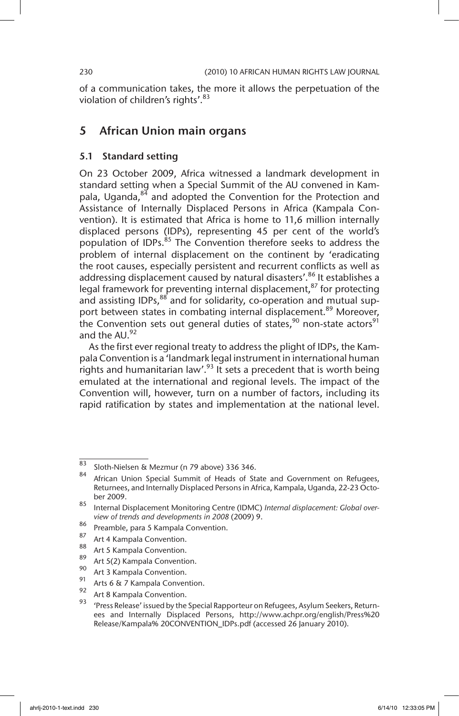of a communication takes, the more it allows the perpetuation of the violation of children's rights'.<sup>83</sup>

# 5 African Union main organs

### 5.1 Standard setting

On 23 October 2009, Africa witnessed a landmark development in standard setting when a Special Summit of the AU convened in Kampala, Uganda, $84$  and adopted the Convention for the Protection and Assistance of Internally Displaced Persons in Africa (Kampala Convention). It is estimated that Africa is home to 11,6 million internally displaced persons (IDPs), representing 45 per cent of the world's population of IDPs.<sup>85</sup> The Convention therefore seeks to address the problem of internal displacement on the continent by 'eradicating the root causes, especially persistent and recurrent conflicts as well as addressing displacement caused by natural disasters'.<sup>86</sup> It establishes a legal framework for preventing internal displacement, $87$  for protecting and assisting IDPs,<sup>88</sup> and for solidarity, co-operation and mutual support between states in combating internal displacement.<sup>89</sup> Moreover, the Convention sets out general duties of states,  $90$  non-state actors  $91$ and the  $AU.<sup>92</sup>$ 

As the first ever regional treaty to address the plight of IDPs, the Kampala Convention is a 'landmark legal instrument in international human rights and humanitarian law'.<sup>93</sup> It sets a precedent that is worth being emulated at the international and regional levels. The impact of the Convention will, however, turn on a number of factors, including its rapid ratification by states and implementation at the national level.

 $rac{83}{84}$  Sloth-Nielsen & Mezmur (n 79 above) 336 346.

African Union Special Summit of Heads of State and Government on Refugees, Returnees, and Internally Displaced Persons in Africa, Kampala, Uganda, 22-23 October 2009.

<sup>85</sup> Internal Displacement Monitoring Centre (IDMC) *Internal displacement: Global overview of trends and developments in 2008* (2009) 9.

<sup>86</sup> Preamble, para 5 Kampala Convention.

 $^{87}$  Art 4 Kampala Convention.

 $\frac{80}{89}$  Art 5 Kampala Convention.

<sup>&</sup>lt;sup>89</sup> Art 5(2) Kampala Convention.

 $^{90}$  Art 3 Kampala Convention.

<sup>&</sup>lt;sup>91</sup> Arts 6 & 7 Kampala Convention.

 $^{92}$  Art 8 Kampala Convention.

<sup>&#</sup>x27;Press Release' issued by the Special Rapporteur on Refugees, Asylum Seekers, Returnees and Internally Displaced Persons, http://www.achpr.org/english/Press%20 Release/Kampala% 20CONVENTION\_IDPs.pdf (accessed 26 January 2010).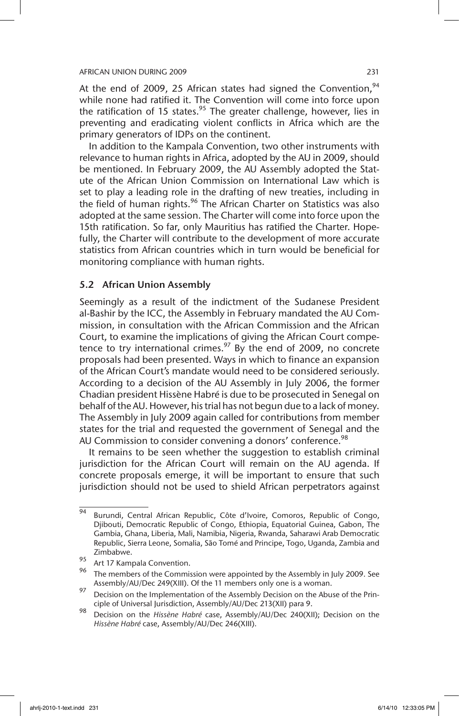At the end of 2009, 25 African states had signed the Convention,  $94$ while none had ratified it. The Convention will come into force upon the ratification of 15 states.<sup>95</sup> The greater challenge, however, lies in preventing and eradicating violent conflicts in Africa which are the primary generators of IDPs on the continent.

In addition to the Kampala Convention, two other instruments with relevance to human rights in Africa, adopted by the AU in 2009, should be mentioned. In February 2009, the AU Assembly adopted the Statute of the African Union Commission on International Law which is set to play a leading role in the drafting of new treaties, including in the field of human rights.<sup>96</sup> The African Charter on Statistics was also adopted at the same session. The Charter will come into force upon the 15th ratification. So far, only Mauritius has ratified the Charter. Hopefully, the Charter will contribute to the development of more accurate statistics from African countries which in turn would be beneficial for monitoring compliance with human rights.

# 5.2 African Union Assembly

Seemingly as a result of the indictment of the Sudanese President al-Bashir by the ICC, the Assembly in February mandated the AU Commission, in consultation with the African Commission and the African Court, to examine the implications of giving the African Court competence to try international crimes.<sup>97</sup> By the end of 2009, no concrete proposals had been presented. Ways in which to finance an expansion of the African Court's mandate would need to be considered seriously. According to a decision of the AU Assembly in July 2006, the former Chadian president Hissène Habré is due to be prosecuted in Senegal on behalf of the AU. However, his trial has not begun due to a lack of money. The Assembly in July 2009 again called for contributions from member states for the trial and requested the government of Senegal and the AU Commission to consider convening a donors' conference.<sup>98</sup>

It remains to be seen whether the suggestion to establish criminal jurisdiction for the African Court will remain on the AU agenda. If concrete proposals emerge, it will be important to ensure that such jurisdiction should not be used to shield African perpetrators against

 $\frac{1}{94}$  Burundi, Central African Republic, Côte d'Ivoire, Comoros, Republic of Congo, Djibouti, Democratic Republic of Congo, Ethiopia, Equatorial Guinea, Gabon, The Gambia, Ghana, Liberia, Mali, Namibia, Nigeria, Rwanda, Saharawi Arab Democratic Republic, Sierra Leone, Somalia, São Tomé and Principe, Togo, Uganda, Zambia and Zimbabwe.

<sup>&</sup>lt;sup>95</sup> Art 17 Kampala Convention.

The members of the Commission were appointed by the Assembly in July 2009. See Assembly/AU/Dec 249(XIII). Of the 11 members only one is a woman.

<sup>97</sup> Decision on the Implementation of the Assembly Decision on the Abuse of the Principle of Universal Jurisdiction, Assembly/AU/Dec 213(XII) para 9.

<sup>98</sup> Decision on the *Hissène Habré* case, Assembly/AU/Dec 240(XII); Decision on the *Hissène Habré* case, Assembly/AU/Dec 246(XIII).